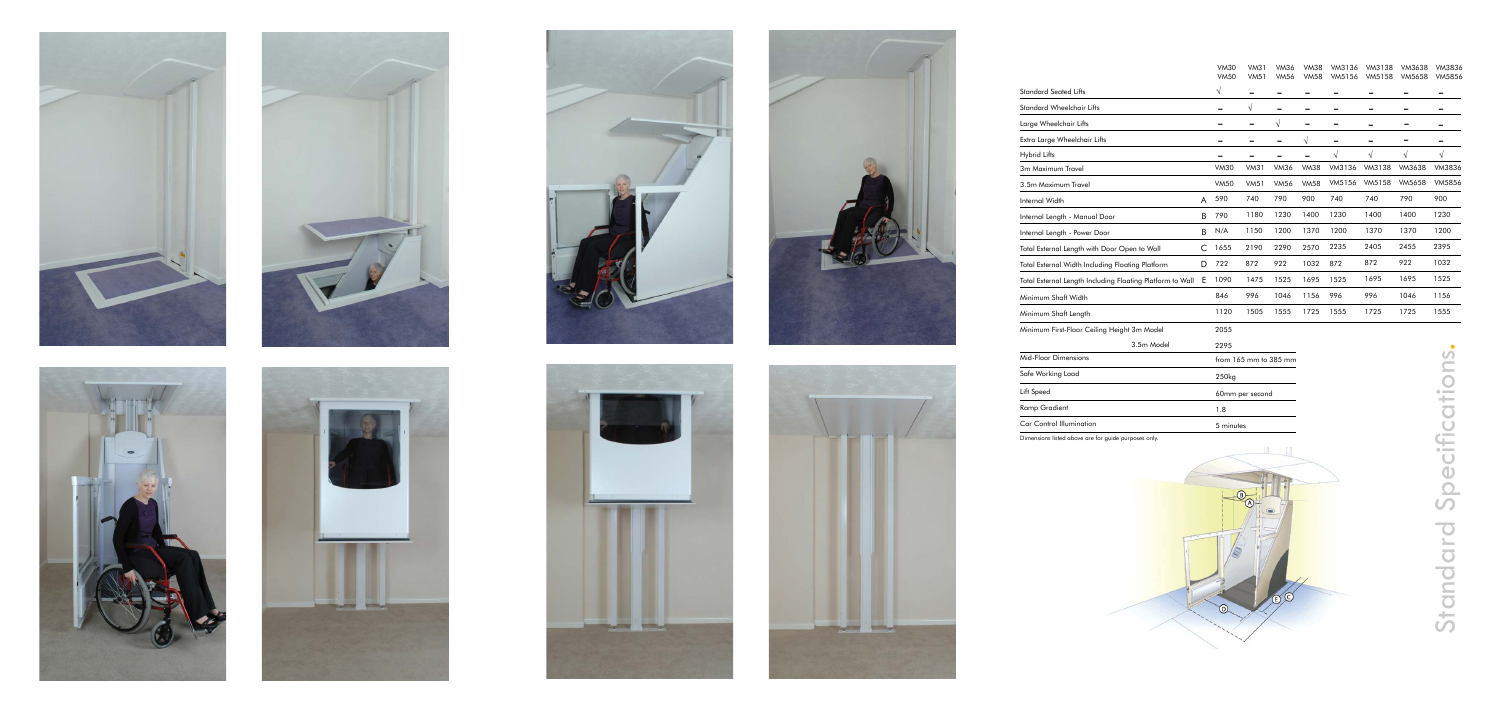Dimensions listed above are for guide purposes only.



Standard Specifications. Specification Standard

















|                                                           |   | <b>VM30</b><br><b>VM50</b> | VM31<br><b>VM51</b> | <b>VM36</b><br><b>VM56</b> | <b>VM38</b><br><b>VM58</b> | VM3136<br>VM5156 | VM3138<br>VM5158 | VM3638<br><b>VM5658</b> | VM3836<br>VM5856 |
|-----------------------------------------------------------|---|----------------------------|---------------------|----------------------------|----------------------------|------------------|------------------|-------------------------|------------------|
| <b>Standard Seated Lifts</b>                              |   | $\sqrt{ }$                 |                     |                            |                            |                  |                  |                         |                  |
| Standard Wheelchair Lifts                                 |   |                            | V                   |                            |                            |                  |                  |                         |                  |
| Large Wheelchair Lifts                                    |   |                            | -                   | V                          |                            |                  |                  |                         |                  |
| Extra Large Wheelchair Lifts                              |   |                            |                     |                            | V                          |                  |                  |                         |                  |
| <b>Hybrid Lifts</b>                                       |   |                            |                     |                            |                            | $\sqrt{ }$       | √                | $\sqrt{}$               | V                |
| 3m Maximum Travel                                         |   | <b>VM30</b>                | VM31                | <b>VM36</b>                | <b>VM38</b>                | VM3136           | VM3138           | VM3638                  | VM3836           |
| 3.5m Maximum Travel                                       |   | <b>VM50</b>                | <b>VM51</b>         | <b>VM56</b>                | <b>VM58</b>                | VM5156           | VM5158           | <b>VM5658</b>           | <b>VM5856</b>    |
| Internal Width                                            | A | 590                        | 740                 | 790                        | 900                        | 740              | 740              | 790                     | 900              |
| Internal Length - Manual Door                             | B | 790                        | 1180                | 1230                       | 1400                       | 1230             | 1400             | 1400                    | 1230             |
| Internal Length - Power Door                              | B | N/A                        | 1150                | 1200                       | 1370                       | 1200             | 1370             | 1370                    | 1200             |
| Total External Length with Door Open to Wall              | C | 1655                       | 2190                | 2290                       | 2570                       | 2235             | 2405             | 2455                    | 2395             |
| Total External Width Including Floating Platform          | D | 722                        | 872                 | 922                        | 1032                       | 872              | 872              | 922                     | 1032             |
| Total External Length Including Floating Platform to Wall | E | 1090                       | 1475                | 1525                       | 1695                       | 1525             | 1695             | 1695                    | 1525             |
| Minimum Shaft Width                                       |   | 846                        | 996                 | 1046                       | 1156                       | 996              | 996              | 1046                    | 1156             |
| Minimum Shaft Length                                      |   | 1120                       | 1505                | 1555                       | 1725                       | 1555             | 1725             | 1725                    | 1555             |
| Minimum First-Floor Ceiling Height 3m Model               |   | 2055                       |                     |                            |                            |                  |                  |                         |                  |
| 3.5m Model                                                |   | 2295                       |                     |                            |                            |                  |                  |                         |                  |
| Mid-Floor Dimensions                                      |   | from $165$ mm to $385$ mm  |                     |                            |                            |                  |                  |                         |                  |

| Mid-Floor Dimensions     | from $165$ mm to $385$ mm |  |  |  |  |
|--------------------------|---------------------------|--|--|--|--|
| Safe Working Load        | 250 <sub>kg</sub>         |  |  |  |  |
| Lift Speed               | 60mm per second           |  |  |  |  |
| Ramp Gradient            | 1.8                       |  |  |  |  |
| Car Control Illumination | 5 minutes                 |  |  |  |  |